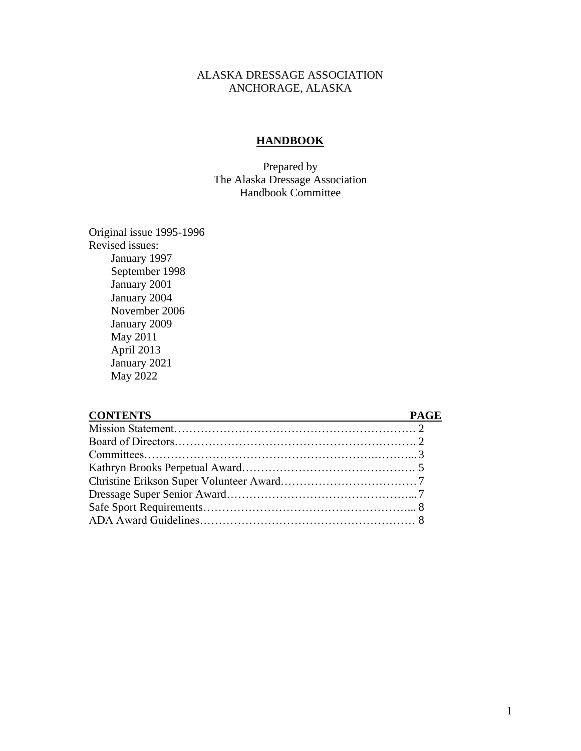#### ALASKA DRESSAGE ASSOCIATION ANCHORAGE, ALASKA

#### **HANDBOOK**

Prepared by The Alaska Dressage Association Handbook Committee

Original issue 1995-1996 Revised issues: January 1997 September 1998 January 2001 January 2004 November 2006 January 2009 May 2011 April 2013 January 2021 May 2022

#### **CONTENTS PAGE**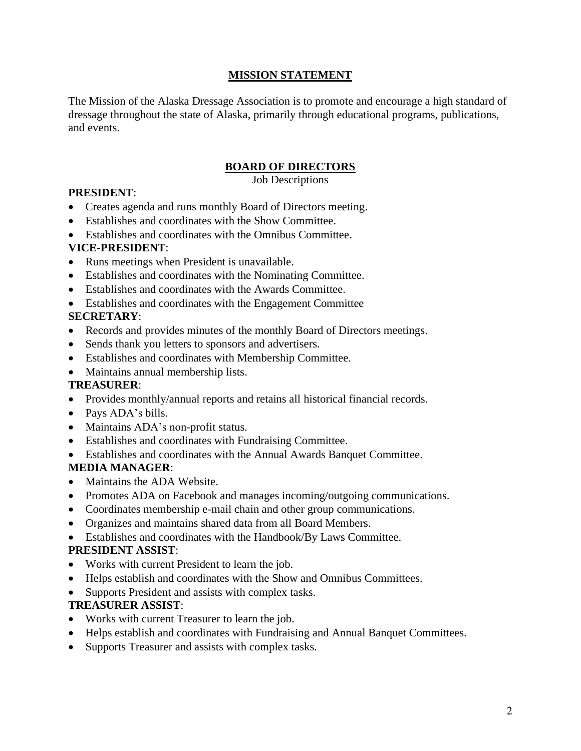## **MISSION STATEMENT**

The Mission of the Alaska Dressage Association is to promote and encourage a high standard of dressage throughout the state of Alaska, primarily through educational programs, publications, and events.

# **BOARD OF DIRECTORS**

Job Descriptions

## **PRESIDENT**:

- Creates agenda and runs monthly Board of Directors meeting.
- Establishes and coordinates with the Show Committee.
- Establishes and coordinates with the Omnibus Committee.

### **VICE-PRESIDENT**:

- Runs meetings when President is unavailable.
- Establishes and coordinates with the Nominating Committee.
- Establishes and coordinates with the Awards Committee.
- Establishes and coordinates with the Engagement Committee

## **SECRETARY**:

- Records and provides minutes of the monthly Board of Directors meetings.
- Sends thank you letters to sponsors and advertisers.
- Establishes and coordinates with Membership Committee.
- Maintains annual membership lists.

### **TREASURER**:

- Provides monthly/annual reports and retains all historical financial records.
- Pays ADA's bills.
- Maintains ADA's non-profit status.
- Establishes and coordinates with Fundraising Committee.
- Establishes and coordinates with the Annual Awards Banquet Committee.

### **MEDIA MANAGER**:

- Maintains the ADA Website.
- Promotes ADA on Facebook and manages incoming/outgoing communications.
- Coordinates membership e-mail chain and other group communications.
- Organizes and maintains shared data from all Board Members.
- Establishes and coordinates with the Handbook/By Laws Committee.

### **PRESIDENT ASSIST**:

- Works with current President to learn the job.
- Helps establish and coordinates with the Show and Omnibus Committees.
- Supports President and assists with complex tasks.

### **TREASURER ASSIST**:

- Works with current Treasurer to learn the job.
- Helps establish and coordinates with Fundraising and Annual Banquet Committees.
- Supports Treasurer and assists with complex tasks.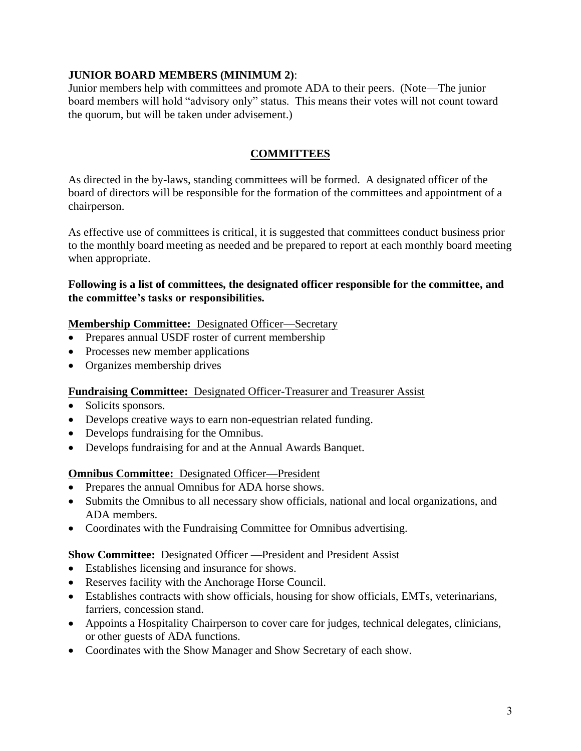### **JUNIOR BOARD MEMBERS (MINIMUM 2)**:

Junior members help with committees and promote ADA to their peers. (Note—The junior board members will hold "advisory only" status. This means their votes will not count toward the quorum, but will be taken under advisement.)

# **COMMITTEES**

As directed in the by-laws, standing committees will be formed. A designated officer of the board of directors will be responsible for the formation of the committees and appointment of a chairperson.

As effective use of committees is critical, it is suggested that committees conduct business prior to the monthly board meeting as needed and be prepared to report at each monthly board meeting when appropriate.

### **Following is a list of committees, the designated officer responsible for the committee, and the committee's tasks or responsibilities.**

### **Membership Committee:** Designated Officer—Secretary

- Prepares annual USDF roster of current membership
- Processes new member applications
- Organizes membership drives

### **Fundraising Committee:** Designated Officer-Treasurer and Treasurer Assist

- Solicits sponsors.
- Develops creative ways to earn non-equestrian related funding.
- Develops fundraising for the Omnibus.
- Develops fundraising for and at the Annual Awards Banquet.

### **Omnibus Committee:** Designated Officer—President

- Prepares the annual Omnibus for ADA horse shows.
- Submits the Omnibus to all necessary show officials, national and local organizations, and ADA members.
- Coordinates with the Fundraising Committee for Omnibus advertising.

### **Show Committee:** Designated Officer —President and President Assist

- Establishes licensing and insurance for shows.
- Reserves facility with the Anchorage Horse Council.
- Establishes contracts with show officials, housing for show officials, EMTs, veterinarians, farriers, concession stand.
- Appoints a Hospitality Chairperson to cover care for judges, technical delegates, clinicians, or other guests of ADA functions.
- Coordinates with the Show Manager and Show Secretary of each show.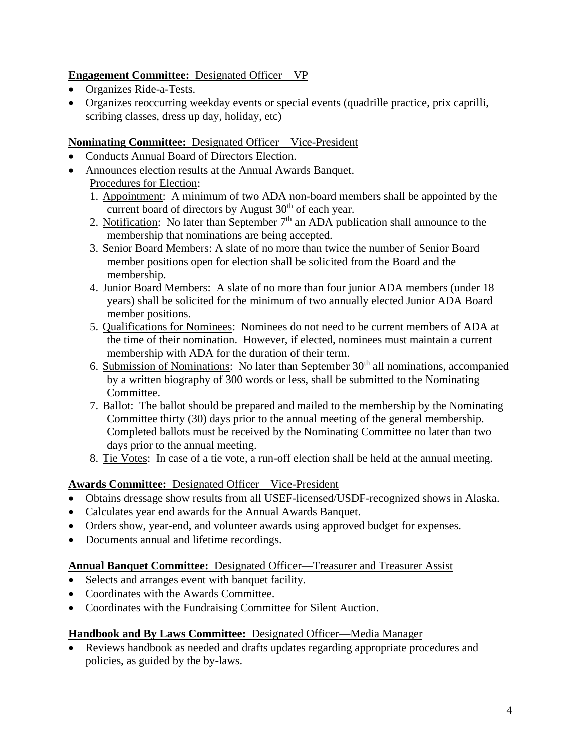# **Engagement Committee:** Designated Officer – VP

- Organizes Ride-a-Tests.
- Organizes reoccurring weekday events or special events (quadrille practice, prix caprilli, scribing classes, dress up day, holiday, etc)

## **Nominating Committee:** Designated Officer—Vice-President

- Conducts Annual Board of Directors Election.
- Announces election results at the Annual Awards Banquet. Procedures for Election:
	- 1. Appointment: A minimum of two ADA non-board members shall be appointed by the current board of directors by August 30<sup>th</sup> of each year.
	- 2. Notification: No later than September  $7<sup>th</sup>$  an ADA publication shall announce to the membership that nominations are being accepted.
	- 3. Senior Board Members: A slate of no more than twice the number of Senior Board member positions open for election shall be solicited from the Board and the membership.
	- 4. Junior Board Members: A slate of no more than four junior ADA members (under 18 years) shall be solicited for the minimum of two annually elected Junior ADA Board member positions.
	- 5. Qualifications for Nominees: Nominees do not need to be current members of ADA at the time of their nomination. However, if elected, nominees must maintain a current membership with ADA for the duration of their term.
	- 6. Submission of Nominations: No later than September  $30<sup>th</sup>$  all nominations, accompanied by a written biography of 300 words or less, shall be submitted to the Nominating Committee.
	- 7. Ballot: The ballot should be prepared and mailed to the membership by the Nominating Committee thirty (30) days prior to the annual meeting of the general membership. Completed ballots must be received by the Nominating Committee no later than two days prior to the annual meeting.
	- 8. Tie Votes:In case of a tie vote, a run-off election shall be held at the annual meeting.

### **Awards Committee:** Designated Officer—Vice-President

- Obtains dressage show results from all USEF-licensed/USDF-recognized shows in Alaska.
- Calculates year end awards for the Annual Awards Banquet.
- Orders show, year-end, and volunteer awards using approved budget for expenses.
- Documents annual and lifetime recordings.

### **Annual Banquet Committee:** Designated Officer—Treasurer and Treasurer Assist

- Selects and arranges event with banquet facility.
- Coordinates with the Awards Committee.
- Coordinates with the Fundraising Committee for Silent Auction.

### **Handbook and By Laws Committee:** Designated Officer—Media Manager

• Reviews handbook as needed and drafts updates regarding appropriate procedures and policies, as guided by the by-laws.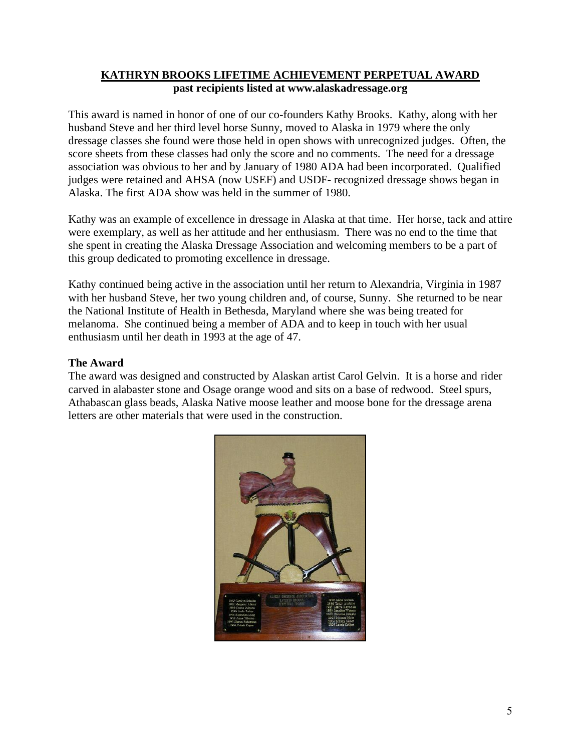# **KATHRYN BROOKS LIFETIME ACHIEVEMENT PERPETUAL AWARD past recipients listed at www.alaskadressage.org**

This award is named in honor of one of our co-founders Kathy Brooks. Kathy, along with her husband Steve and her third level horse Sunny, moved to Alaska in 1979 where the only dressage classes she found were those held in open shows with unrecognized judges. Often, the score sheets from these classes had only the score and no comments. The need for a dressage association was obvious to her and by January of 1980 ADA had been incorporated. Qualified judges were retained and AHSA (now USEF) and USDF- recognized dressage shows began in Alaska. The first ADA show was held in the summer of 1980.

Kathy was an example of excellence in dressage in Alaska at that time. Her horse, tack and attire were exemplary, as well as her attitude and her enthusiasm. There was no end to the time that she spent in creating the Alaska Dressage Association and welcoming members to be a part of this group dedicated to promoting excellence in dressage.

Kathy continued being active in the association until her return to Alexandria, Virginia in 1987 with her husband Steve, her two young children and, of course, Sunny. She returned to be near the National Institute of Health in Bethesda, Maryland where she was being treated for melanoma. She continued being a member of ADA and to keep in touch with her usual enthusiasm until her death in 1993 at the age of 47.

### **The Award**

The award was designed and constructed by Alaskan artist Carol Gelvin. It is a horse and rider carved in alabaster stone and Osage orange wood and sits on a base of redwood. Steel spurs, Athabascan glass beads, Alaska Native moose leather and moose bone for the dressage arena letters are other materials that were used in the construction.

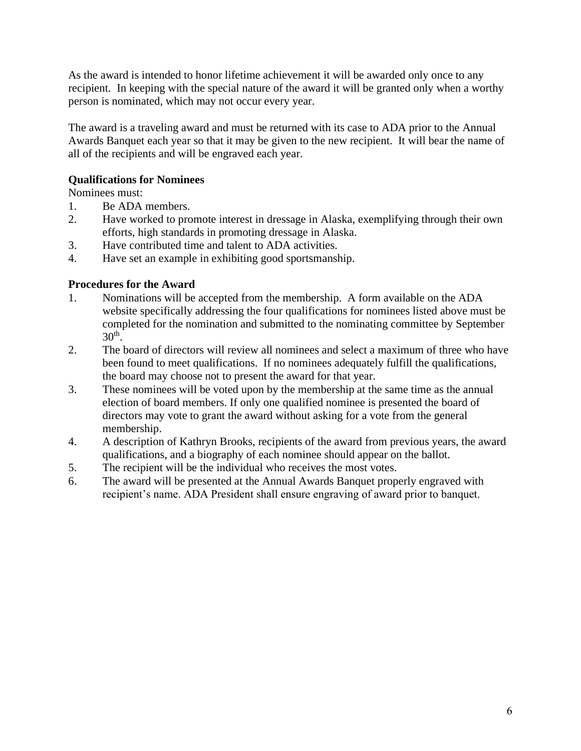As the award is intended to honor lifetime achievement it will be awarded only once to any recipient. In keeping with the special nature of the award it will be granted only when a worthy person is nominated, which may not occur every year.

The award is a traveling award and must be returned with its case to ADA prior to the Annual Awards Banquet each year so that it may be given to the new recipient. It will bear the name of all of the recipients and will be engraved each year.

### **Qualifications for Nominees**

Nominees must:

- 1. Be ADA members.
- 2. Have worked to promote interest in dressage in Alaska, exemplifying through their own efforts, high standards in promoting dressage in Alaska.
- 3. Have contributed time and talent to ADA activities.
- 4. Have set an example in exhibiting good sportsmanship.

## **Procedures for the Award**

- 1. Nominations will be accepted from the membership. A form available on the ADA website specifically addressing the four qualifications for nominees listed above must be completed for the nomination and submitted to the nominating committee by September  $30<sup>th</sup>$ .
- 2. The board of directors will review all nominees and select a maximum of three who have been found to meet qualifications. If no nominees adequately fulfill the qualifications, the board may choose not to present the award for that year.
- 3. These nominees will be voted upon by the membership at the same time as the annual election of board members. If only one qualified nominee is presented the board of directors may vote to grant the award without asking for a vote from the general membership.
- 4. A description of Kathryn Brooks, recipients of the award from previous years, the award qualifications, and a biography of each nominee should appear on the ballot.
- 5. The recipient will be the individual who receives the most votes.
- 6. The award will be presented at the Annual Awards Banquet properly engraved with recipient's name. ADA President shall ensure engraving of award prior to banquet.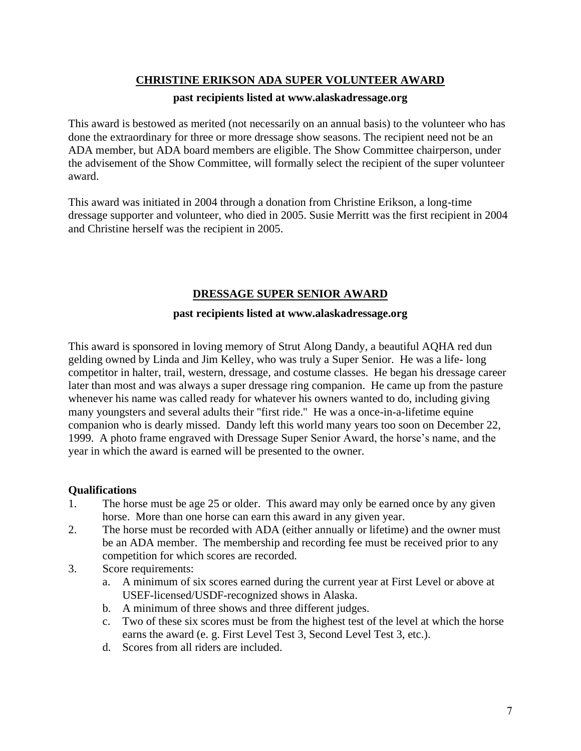### **CHRISTINE ERIKSON ADA SUPER VOLUNTEER AWARD**

#### **past recipients listed at www.alaskadressage.org**

This award is bestowed as merited (not necessarily on an annual basis) to the volunteer who has done the extraordinary for three or more dressage show seasons. The recipient need not be an ADA member, but ADA board members are eligible. The Show Committee chairperson, under the advisement of the Show Committee, will formally select the recipient of the super volunteer award.

This award was initiated in 2004 through a donation from Christine Erikson, a long-time dressage supporter and volunteer, who died in 2005. Susie Merritt was the first recipient in 2004 and Christine herself was the recipient in 2005.

## **DRESSAGE SUPER SENIOR AWARD**

#### **past recipients listed at www.alaskadressage.org**

This award is sponsored in loving memory of Strut Along Dandy, a beautiful AQHA red dun gelding owned by Linda and Jim Kelley, who was truly a Super Senior. He was a life- long competitor in halter, trail, western, dressage, and costume classes. He began his dressage career later than most and was always a super dressage ring companion. He came up from the pasture whenever his name was called ready for whatever his owners wanted to do, including giving many youngsters and several adults their "first ride." He was a once-in-a-lifetime equine companion who is dearly missed. Dandy left this world many years too soon on December 22, 1999. A photo frame engraved with Dressage Super Senior Award, the horse's name, and the year in which the award is earned will be presented to the owner.

### **Qualifications**

- 1. The horse must be age 25 or older. This award may only be earned once by any given horse. More than one horse can earn this award in any given year.
- 2. The horse must be recorded with ADA (either annually or lifetime) and the owner must be an ADA member. The membership and recording fee must be received prior to any competition for which scores are recorded.
- 3. Score requirements:
	- a. A minimum of six scores earned during the current year at First Level or above at USEF-licensed/USDF-recognized shows in Alaska.
	- b. A minimum of three shows and three different judges.
	- c. Two of these six scores must be from the highest test of the level at which the horse earns the award (e. g. First Level Test 3, Second Level Test 3, etc.).
	- d. Scores from all riders are included.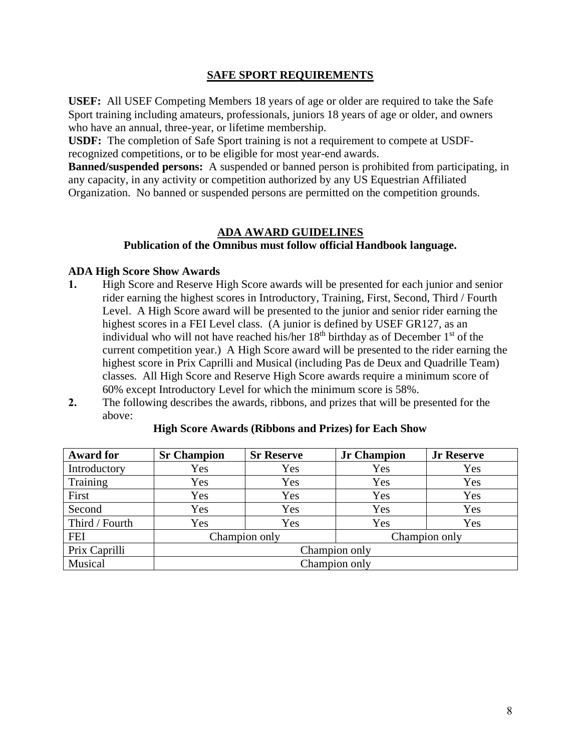#### **SAFE SPORT REQUIREMENTS**

**USEF:** All USEF Competing Members 18 years of age or older are required to take the Safe Sport training including amateurs, professionals, juniors 18 years of age or older, and owners who have an annual, three-year, or lifetime membership.

**USDF:** The completion of Safe Sport training is not a requirement to compete at USDFrecognized competitions, or to be eligible for most year-end awards.

**Banned/suspended persons:** A suspended or banned person is prohibited from participating, in any capacity, in any activity or competition authorized by any US Equestrian Affiliated Organization. No banned or suspended persons are permitted on the competition grounds.

#### **ADA AWARD GUIDELINES**

### **Publication of the Omnibus must follow official Handbook language.**

#### **ADA High Score Show Awards**

- **1.** High Score and Reserve High Score awards will be presented for each junior and senior rider earning the highest scores in Introductory, Training, First, Second, Third / Fourth Level. A High Score award will be presented to the junior and senior rider earning the highest scores in a FEI Level class. (A junior is defined by USEF GR127, as an individual who will not have reached his/her  $18<sup>th</sup>$  birthday as of December  $1<sup>st</sup>$  of the current competition year.) A High Score award will be presented to the rider earning the highest score in Prix Caprilli and Musical (including Pas de Deux and Quadrille Team) classes. All High Score and Reserve High Score awards require a minimum score of 60% except Introductory Level for which the minimum score is 58%.
- **2.** The following describes the awards, ribbons, and prizes that will be presented for the above:

| <b>Award for</b> | <b>Sr Champion</b>             | <b>Sr Reserve</b> | <b>Jr Champion</b> | <b>Jr Reserve</b> |  |
|------------------|--------------------------------|-------------------|--------------------|-------------------|--|
| Introductory     | Yes                            | Yes               | Yes                | Yes               |  |
| Training         | Yes                            | Yes               | Yes                | Yes               |  |
| First            | Yes                            | Yes               | Yes                | Yes               |  |
| Second           | Yes                            | Yes               | Yes                | Yes               |  |
| Third / Fourth   | Yes                            | Yes               | Yes                | Yes               |  |
| <b>FEI</b>       | Champion only<br>Champion only |                   |                    |                   |  |
| Prix Caprilli    | Champion only                  |                   |                    |                   |  |
| Musical          | Champion only                  |                   |                    |                   |  |

#### **High Score Awards (Ribbons and Prizes) for Each Show**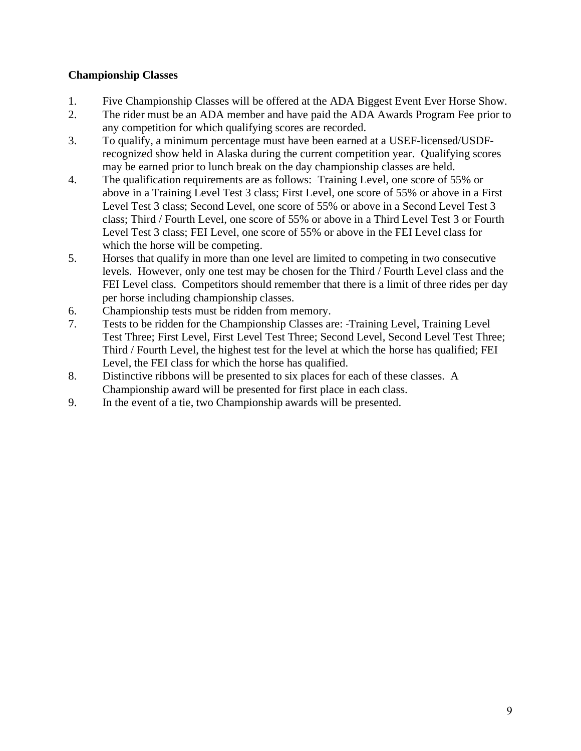## **Championship Classes**

- 1. Five Championship Classes will be offered at the ADA Biggest Event Ever Horse Show.
- 2. The rider must be an ADA member and have paid the ADA Awards Program Fee prior to any competition for which qualifying scores are recorded.
- 3. To qualify, a minimum percentage must have been earned at a USEF-licensed/USDFrecognized show held in Alaska during the current competition year. Qualifying scores may be earned prior to lunch break on the day championship classes are held.
- 4. The qualification requirements are as follows: Training Level, one score of 55% or above in a Training Level Test 3 class; First Level, one score of 55% or above in a First Level Test 3 class; Second Level, one score of 55% or above in a Second Level Test 3 class; Third / Fourth Level, one score of 55% or above in a Third Level Test 3 or Fourth Level Test 3 class; FEI Level, one score of 55% or above in the FEI Level class for which the horse will be competing.
- 5. Horses that qualify in more than one level are limited to competing in two consecutive levels. However, only one test may be chosen for the Third / Fourth Level class and the FEI Level class. Competitors should remember that there is a limit of three rides per day per horse including championship classes.
- 6. Championship tests must be ridden from memory.
- 7. Tests to be ridden for the Championship Classes are: Training Level, Training Level Test Three; First Level, First Level Test Three; Second Level, Second Level Test Three; Third / Fourth Level, the highest test for the level at which the horse has qualified; FEI Level, the FEI class for which the horse has qualified.
- 8. Distinctive ribbons will be presented to six places for each of these classes. A Championship award will be presented for first place in each class.
- 9. In the event of a tie, two Championship awards will be presented.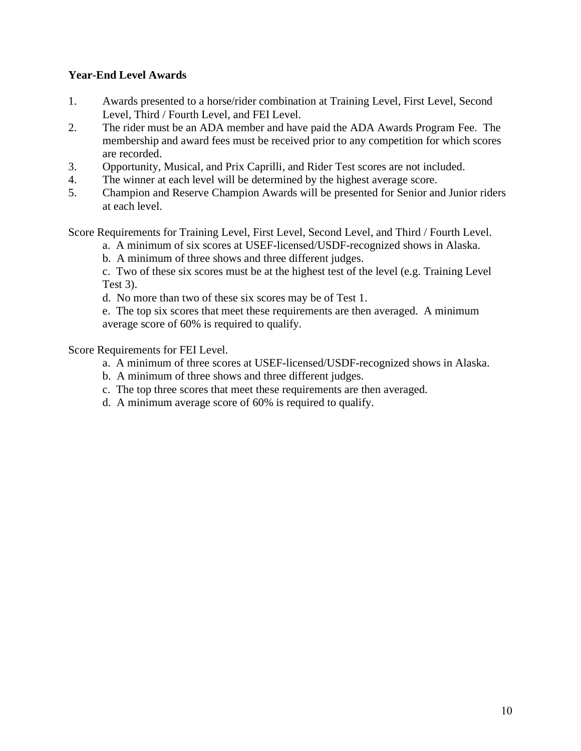### **Year-End Level Awards**

- 1. Awards presented to a horse/rider combination at Training Level, First Level, Second Level, Third / Fourth Level, and FEI Level.
- 2. The rider must be an ADA member and have paid the ADA Awards Program Fee. The membership and award fees must be received prior to any competition for which scores are recorded.
- 3. Opportunity, Musical, and Prix Caprilli, and Rider Test scores are not included.
- 4. The winner at each level will be determined by the highest average score.
- 5. Champion and Reserve Champion Awards will be presented for Senior and Junior riders at each level.

Score Requirements for Training Level, First Level, Second Level, and Third / Fourth Level.

a. A minimum of six scores at USEF-licensed/USDF-recognized shows in Alaska.

b. A minimum of three shows and three different judges.

c. Two of these six scores must be at the highest test of the level (e.g. Training Level Test 3).

d. No more than two of these six scores may be of Test 1.

e. The top six scores that meet these requirements are then averaged. A minimum average score of 60% is required to qualify.

Score Requirements for FEI Level.

- a. A minimum of three scores at USEF-licensed/USDF-recognized shows in Alaska.
- b. A minimum of three shows and three different judges.
- c. The top three scores that meet these requirements are then averaged.
- d. A minimum average score of 60% is required to qualify.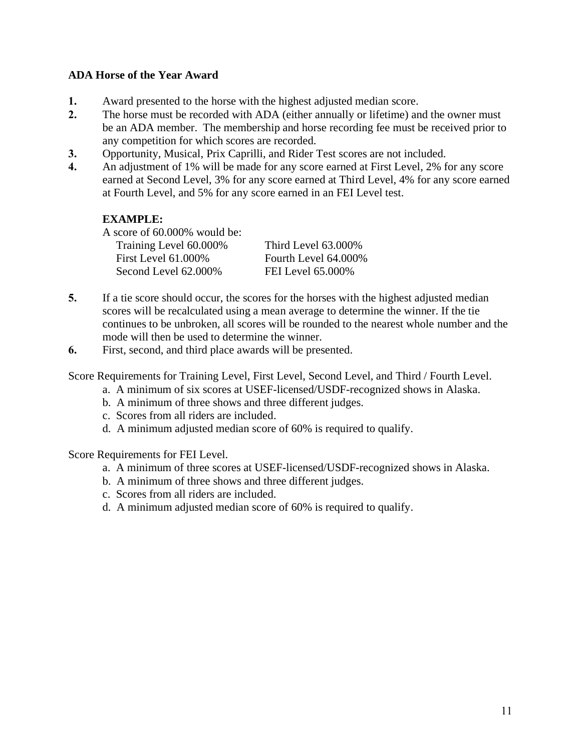### **ADA Horse of the Year Award**

- **1.** Award presented to the horse with the highest adjusted median score.
- **2.** The horse must be recorded with ADA (either annually or lifetime) and the owner must be an ADA member. The membership and horse recording fee must be received prior to any competition for which scores are recorded.
- **3.** Opportunity, Musical, Prix Caprilli, and Rider Test scores are not included.
- **4.** An adjustment of 1% will be made for any score earned at First Level, 2% for any score earned at Second Level, 3% for any score earned at Third Level, 4% for any score earned at Fourth Level, and 5% for any score earned in an FEI Level test.

## **EXAMPLE:**

A score of 60.000% would be: Training Level 60.000% Third Level 63.000% First Level 61.000% Fourth Level 64.000% Second Level 62.000% FEI Level 65.000%

- **5.** If a tie score should occur, the scores for the horses with the highest adjusted median scores will be recalculated using a mean average to determine the winner. If the tie continues to be unbroken, all scores will be rounded to the nearest whole number and the mode will then be used to determine the winner.
- **6.** First, second, and third place awards will be presented.

Score Requirements for Training Level, First Level, Second Level, and Third / Fourth Level.

- a. A minimum of six scores at USEF-licensed/USDF-recognized shows in Alaska.
- b. A minimum of three shows and three different judges.
- c. Scores from all riders are included.
- d. A minimum adjusted median score of 60% is required to qualify.

Score Requirements for FEI Level.

- a. A minimum of three scores at USEF-licensed/USDF-recognized shows in Alaska.
- b. A minimum of three shows and three different judges.
- c. Scores from all riders are included.
- d. A minimum adjusted median score of 60% is required to qualify.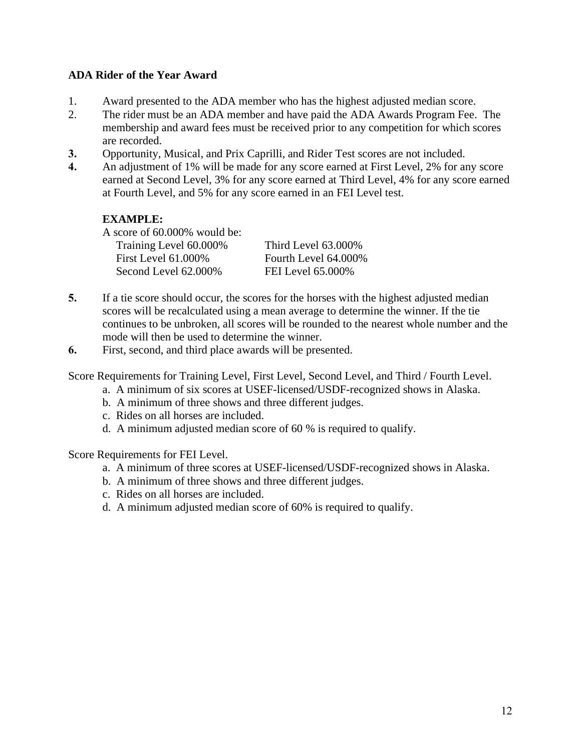### **ADA Rider of the Year Award**

- 1. Award presented to the ADA member who has the highest adjusted median score.
- 2. The rider must be an ADA member and have paid the ADA Awards Program Fee. The membership and award fees must be received prior to any competition for which scores are recorded.
- **3.** Opportunity, Musical, and Prix Caprilli, and Rider Test scores are not included.
- **4.** An adjustment of 1% will be made for any score earned at First Level, 2% for any score earned at Second Level, 3% for any score earned at Third Level, 4% for any score earned at Fourth Level, and 5% for any score earned in an FEI Level test.

# **EXAMPLE:**

A score of 60.000% would be: Training Level 60.000% Third Level 63.000% First Level 61.000% Fourth Level 64.000% Second Level 62.000% FEI Level 65.000%

- **5.** If a tie score should occur, the scores for the horses with the highest adjusted median scores will be recalculated using a mean average to determine the winner. If the tie continues to be unbroken, all scores will be rounded to the nearest whole number and the mode will then be used to determine the winner.
- **6.** First, second, and third place awards will be presented.

Score Requirements for Training Level, First Level, Second Level, and Third / Fourth Level.

- a. A minimum of six scores at USEF-licensed/USDF-recognized shows in Alaska.
- b. A minimum of three shows and three different judges.
- c. Rides on all horses are included.
- d. A minimum adjusted median score of 60 % is required to qualify.

Score Requirements for FEI Level.

- a. A minimum of three scores at USEF-licensed/USDF-recognized shows in Alaska.
- b. A minimum of three shows and three different judges.
- c. Rides on all horses are included.
- d. A minimum adjusted median score of 60% is required to qualify.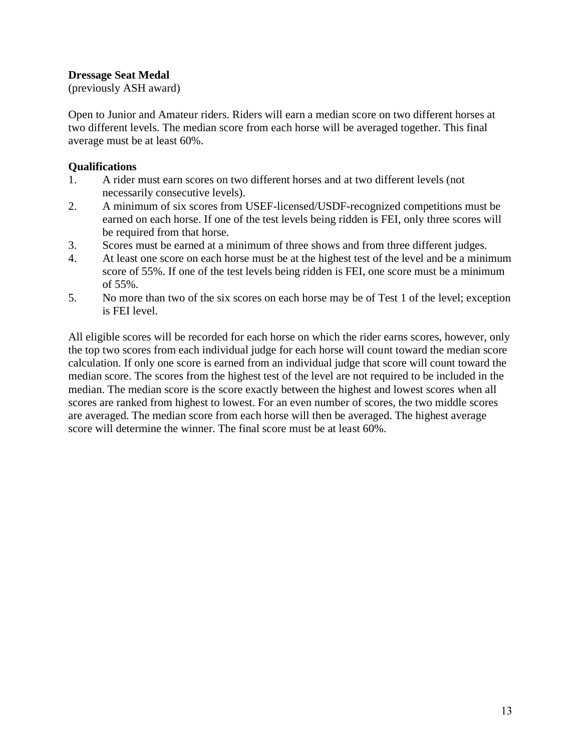### **Dressage Seat Medal**

(previously ASH award)

Open to Junior and Amateur riders. Riders will earn a median score on two different horses at two different levels. The median score from each horse will be averaged together. This final average must be at least 60%.

#### **Qualifications**

- 1. A rider must earn scores on two different horses and at two different levels (not necessarily consecutive levels).
- 2. A minimum of six scores from USEF-licensed/USDF-recognized competitions must be earned on each horse. If one of the test levels being ridden is FEI, only three scores will be required from that horse.
- 3. Scores must be earned at a minimum of three shows and from three different judges.
- 4. At least one score on each horse must be at the highest test of the level and be a minimum score of 55%. If one of the test levels being ridden is FEI, one score must be a minimum of 55%.
- 5. No more than two of the six scores on each horse may be of Test 1 of the level; exception is FEI level.

All eligible scores will be recorded for each horse on which the rider earns scores, however, only the top two scores from each individual judge for each horse will count toward the median score calculation. If only one score is earned from an individual judge that score will count toward the median score. The scores from the highest test of the level are not required to be included in the median. The median score is the score exactly between the highest and lowest scores when all scores are ranked from highest to lowest. For an even number of scores, the two middle scores are averaged. The median score from each horse will then be averaged. The highest average score will determine the winner. The final score must be at least 60%.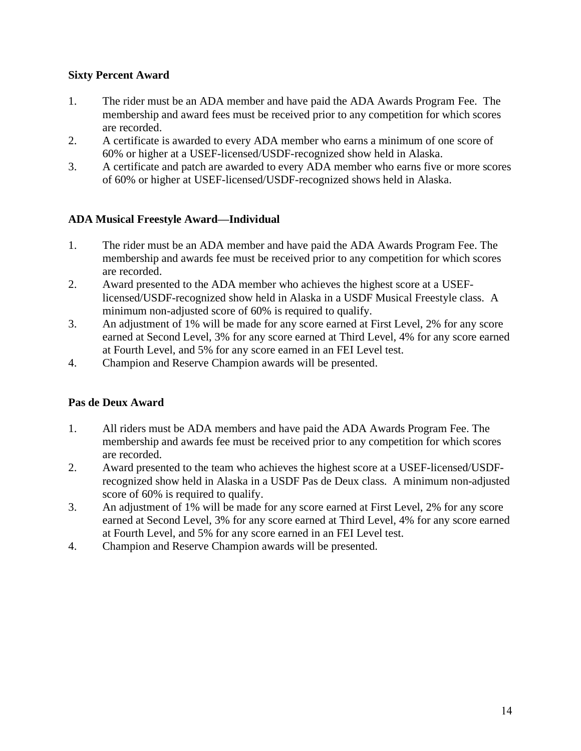### **Sixty Percent Award**

- 1. The rider must be an ADA member and have paid the ADA Awards Program Fee. The membership and award fees must be received prior to any competition for which scores are recorded.
- 2. A certificate is awarded to every ADA member who earns a minimum of one score of 60% or higher at a USEF-licensed/USDF-recognized show held in Alaska.
- 3. A certificate and patch are awarded to every ADA member who earns five or more scores of 60% or higher at USEF-licensed/USDF-recognized shows held in Alaska.

## **ADA Musical Freestyle Award—Individual**

- 1. The rider must be an ADA member and have paid the ADA Awards Program Fee. The membership and awards fee must be received prior to any competition for which scores are recorded.
- 2. Award presented to the ADA member who achieves the highest score at a USEFlicensed/USDF-recognized show held in Alaska in a USDF Musical Freestyle class. A minimum non-adjusted score of 60% is required to qualify.
- 3. An adjustment of 1% will be made for any score earned at First Level, 2% for any score earned at Second Level, 3% for any score earned at Third Level, 4% for any score earned at Fourth Level, and 5% for any score earned in an FEI Level test.
- 4. Champion and Reserve Champion awards will be presented.

### **Pas de Deux Award**

- 1. All riders must be ADA members and have paid the ADA Awards Program Fee. The membership and awards fee must be received prior to any competition for which scores are recorded.
- 2. Award presented to the team who achieves the highest score at a USEF-licensed/USDFrecognized show held in Alaska in a USDF Pas de Deux class. A minimum non-adjusted score of 60% is required to qualify.
- 3. An adjustment of 1% will be made for any score earned at First Level, 2% for any score earned at Second Level, 3% for any score earned at Third Level, 4% for any score earned at Fourth Level, and 5% for any score earned in an FEI Level test.
- 4. Champion and Reserve Champion awards will be presented.